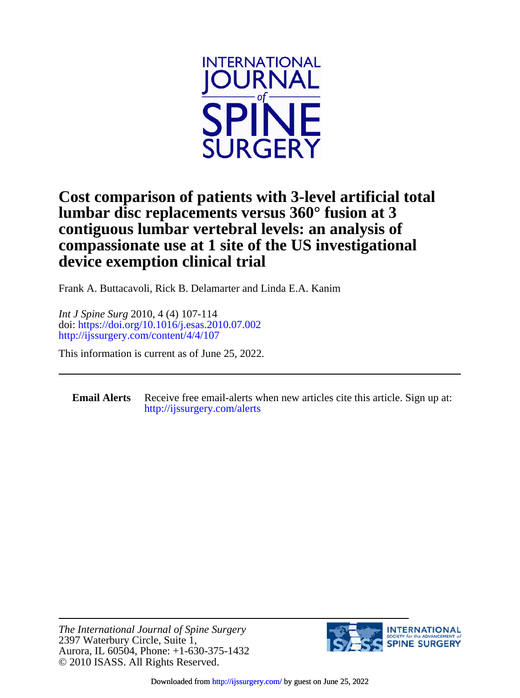

## **device exemption clinical trial compassionate use at 1 site of the US investigational contiguous lumbar vertebral levels: an analysis of lumbar disc replacements versus 360° fusion at 3 Cost comparison of patients with 3-level artificial total**

Frank A. Buttacavoli, Rick B. Delamarter and Linda E.A. Kanim

<http://ijssurgery.com/content/4/4/107> doi:<https://doi.org/10.1016/j.esas.2010.07.002> *Int J Spine Surg* 2010, 4 (4) 107-114

This information is current as of June 25, 2022.

**Email Alerts** [http://ijssurgery.com/alerts](http://jpm.iijournals.com/alerts) Receive free email-alerts when new articles cite this article. Sign up at:

© 2010 ISASS. All Rights Reserved. Aurora, IL 60504, Phone: +1-630-375-1432 2397 Waterbury Circle, Suite 1, *The International Journal of Spine Surgery*



Downloaded from<http://ijssurgery.com/>by guest on June 25, 2022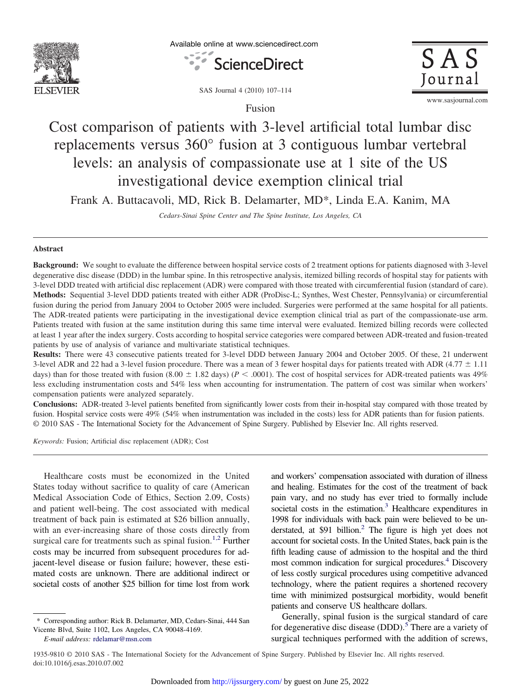

Available online at www.sciencedirect.com





SAS Journal 4 (2010) 107–114

Fusion

www.sasjournal.com

# Cost comparison of patients with 3-level artificial total lumbar disc replacements versus 360° fusion at 3 contiguous lumbar vertebral levels: an analysis of compassionate use at 1 site of the US investigational device exemption clinical trial

Frank A. Buttacavoli, MD, Rick B. Delamarter, MD\*, Linda E.A. Kanim, MA

*Cedars-Sinai Spine Center and The Spine Institute, Los Angeles, CA*

## **Abstract**

**Background:** We sought to evaluate the difference between hospital service costs of 2 treatment options for patients diagnosed with 3-level degenerative disc disease (DDD) in the lumbar spine. In this retrospective analysis, itemized billing records of hospital stay for patients with 3-level DDD treated with artificial disc replacement (ADR) were compared with those treated with circumferential fusion (standard of care). **Methods:** Sequential 3-level DDD patients treated with either ADR (ProDisc-L; Synthes, West Chester, Pennsylvania) or circumferential fusion during the period from January 2004 to October 2005 were included. Surgeries were performed at the same hospital for all patients. The ADR-treated patients were participating in the investigational device exemption clinical trial as part of the compassionate-use arm. Patients treated with fusion at the same institution during this same time interval were evaluated. Itemized billing records were collected at least 1 year after the index surgery. Costs according to hospital service categories were compared between ADR-treated and fusion-treated patients by use of analysis of variance and multivariate statistical techniques.

**Results:** There were 43 consecutive patients treated for 3-level DDD between January 2004 and October 2005. Of these, 21 underwent 3-level ADR and 22 had a 3-level fusion procedure. There was a mean of 3 fewer hospital days for patients treated with ADR (4.77  $\pm$  1.11 days) than for those treated with fusion  $(8.00 \pm 1.82 \text{ days})$  ( $P < .0001$ ). The cost of hospital services for ADR-treated patients was 49% less excluding instrumentation costs and 54% less when accounting for instrumentation. The pattern of cost was similar when workers' compensation patients were analyzed separately.

**Conclusions:** ADR-treated 3-level patients benefited from significantly lower costs from their in-hospital stay compared with those treated by fusion. Hospital service costs were 49% (54% when instrumentation was included in the costs) less for ADR patients than for fusion patients. © 2010 SAS - The International Society for the Advancement of Spine Surgery. Published by Elsevier Inc. All rights reserved.

*Keywords:* Fusion; Artificial disc replacement (ADR); Cost

Healthcare costs must be economized in the United States today without sacrifice to quality of care (American Medical Association Code of Ethics, Section 2.09, Costs) and patient well-being. The cost associated with medical treatment of back pain is estimated at \$26 billion annually, with an ever-increasing share of those costs directly from surgical care for treatments such as spinal fusion.<sup>[1,2](#page-7-0)</sup> Further costs may be incurred from subsequent procedures for adjacent-level disease or fusion failure; however, these estimated costs are unknown. There are additional indirect or societal costs of another \$25 billion for time lost from work

and workers' compensation associated with duration of illness and healing. Estimates for the cost of the treatment of back pain vary, and no study has ever tried to formally include societal costs in the estimation.<sup>3</sup> Healthcare expenditures in 1998 for individuals with back pain were believed to be understated, at \$91 billion.<sup>2</sup> The figure is high yet does not account for societal costs. In the United States, back pain is the fifth leading cause of admission to the hospital and the third most common indication for surgical procedures.<sup>4</sup> Discovery of less costly surgical procedures using competitive advanced technology, where the patient requires a shortened recovery time with minimized postsurgical morbidity, would benefit patients and conserve US healthcare dollars.

Generally, spinal fusion is the surgical standard of care for degenerative disc disease (DDD).<sup>[5](#page-8-0)</sup> There are a variety of surgical techniques performed with the addition of screws,

1935-9810 © 2010 SAS - The International Society for the Advancement of Spine Surgery. Published by Elsevier Inc. All rights reserved. doi:10.1016/j.esas.2010.07.002

<sup>\*</sup> Corresponding author: Rick B. Delamarter, MD, Cedars-Sinai, 444 San Vicente Blvd, Suite 1102, Los Angeles, CA 90048-4169.

*E-mail address:* [rdelamar@msn.com](mailto:rdelamar@msn.com)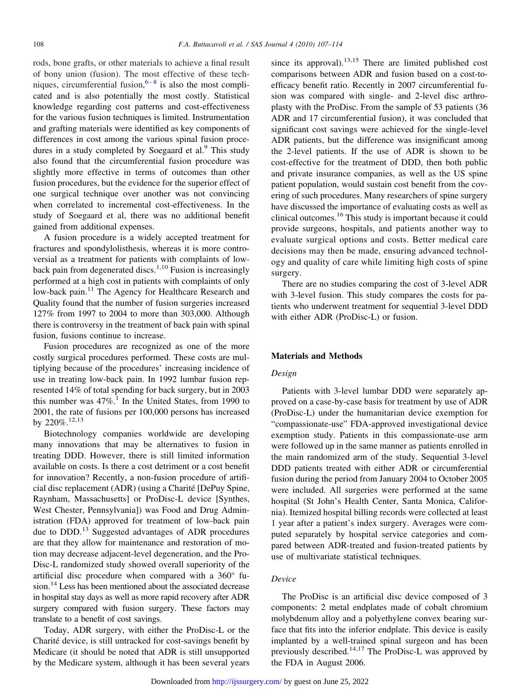rods, bone grafts, or other materials to achieve a final result of bony union (fusion). The most effective of these techniques, circumferential fusion,  $6-8$  is also the most complicated and is also potentially the most costly. Statistical knowledge regarding cost patterns and cost-effectiveness for the various fusion techniques is limited. Instrumentation and grafting materials were identified as key components of differences in cost among the various spinal fusion procedures in a study completed by Soegaard et al.<sup>9</sup> This study also found that the circumferential fusion procedure was slightly more effective in terms of outcomes than other fusion procedures, but the evidence for the superior effect of one surgical technique over another was not convincing when correlated to incremental cost-effectiveness. In the study of Soegaard et al, there was no additional benefit gained from additional expenses.

A fusion procedure is a widely accepted treatment for fractures and spondylolisthesis, whereas it is more controversial as a treatment for patients with complaints of lowback pain from degenerated discs.<sup>1,10</sup> Fusion is increasingly performed at a high cost in patients with complaints of only low-back pain.<sup>[11](#page-8-0)</sup> The Agency for Healthcare Research and Quality found that the number of fusion surgeries increased 127% from 1997 to 2004 to more than 303,000. Although there is controversy in the treatment of back pain with spinal fusion, fusions continue to increase.

Fusion procedures are recognized as one of the more costly surgical procedures performed. These costs are multiplying because of the procedures' increasing incidence of use in treating low-back pain. In 1992 lumbar fusion represented 14% of total spending for back surgery, but in 2003 this number was  $47\%$ .<sup>[1](#page-7-0)</sup> In the United States, from 1990 to 2001, the rate of fusions per 100,000 persons has increased by 220%[.12,13](#page-8-0)

Biotechnology companies worldwide are developing many innovations that may be alternatives to fusion in treating DDD. However, there is still limited information available on costs. Is there a cost detriment or a cost benefit for innovation? Recently, a non-fusion procedure of artificial disc replacement (ADR) (using a Charité [DePuy Spine, Raynham, Massachusetts] or ProDisc-L device [Synthes, West Chester, Pennsylvania]) was Food and Drug Administration (FDA) approved for treatment of low-back pain due to DDD.<sup>13</sup> Suggested advantages of ADR procedures are that they allow for maintenance and restoration of motion may decrease adjacent-level degeneration, and the Pro-Disc-L randomized study showed overall superiority of the artificial disc procedure when compared with a 360° fusion.<sup>14</sup> Less has been mentioned about the associated decrease in hospital stay days as well as more rapid recovery after ADR surgery compared with fusion surgery. These factors may translate to a benefit of cost savings.

Today, ADR surgery, with either the ProDisc-L or the Charité device, is still untracked for cost-savings benefit by Medicare (it should be noted that ADR is still unsupported by the Medicare system, although it has been several years

since its approval). $13,15$  There are limited published cost comparisons between ADR and fusion based on a cost-toefficacy benefit ratio. Recently in 2007 circumferential fusion was compared with single- and 2-level disc arthroplasty with the ProDisc. From the sample of 53 patients (36 ADR and 17 circumferential fusion), it was concluded that significant cost savings were achieved for the single-level ADR patients, but the difference was insignificant among the 2-level patients. If the use of ADR is shown to be cost-effective for the treatment of DDD, then both public and private insurance companies, as well as the US spine patient population, would sustain cost benefit from the covering of such procedures. Many researchers of spine surgery have discussed the importance of evaluating costs as well as clinical outcomes[.16](#page-8-0) This study is important because it could provide surgeons, hospitals, and patients another way to evaluate surgical options and costs. Better medical care decisions may then be made, ensuring advanced technology and quality of care while limiting high costs of spine surgery.

There are no studies comparing the cost of 3-level ADR with 3-level fusion. This study compares the costs for patients who underwent treatment for sequential 3-level DDD with either ADR (ProDisc-L) or fusion.

#### **Materials and Methods**

#### *Design*

Patients with 3-level lumbar DDD were separately approved on a case-by-case basis for treatment by use of ADR (ProDisc-L) under the humanitarian device exemption for "compassionate-use" FDA-approved investigational device exemption study. Patients in this compassionate-use arm were followed up in the same manner as patients enrolled in the main randomized arm of the study. Sequential 3-level DDD patients treated with either ADR or circumferential fusion during the period from January 2004 to October 2005 were included. All surgeries were performed at the same hospital (St John's Health Center, Santa Monica, California). Itemized hospital billing records were collected at least 1 year after a patient's index surgery. Averages were computed separately by hospital service categories and compared between ADR-treated and fusion-treated patients by use of multivariate statistical techniques.

### *Device*

The ProDisc is an artificial disc device composed of 3 components: 2 metal endplates made of cobalt chromium molybdenum alloy and a polyethylene convex bearing surface that fits into the inferior endplate. This device is easily implanted by a well-trained spinal surgeon and has been previously described.<sup>[14,17](#page-8-0)</sup> The ProDisc-L was approved by the FDA in August 2006.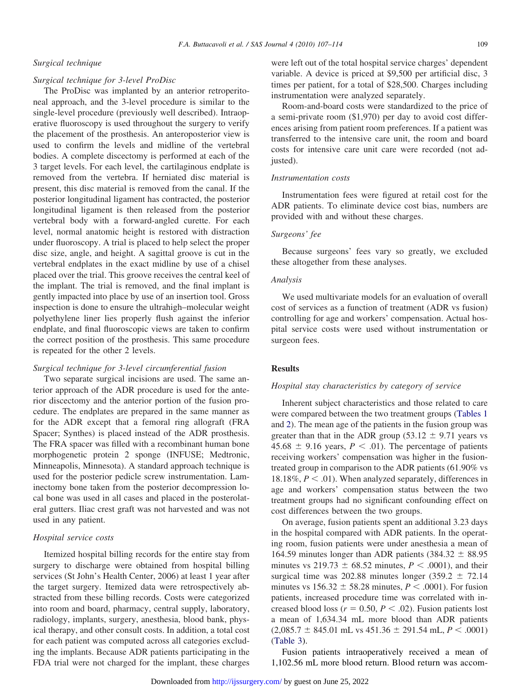#### *Surgical technique*

#### *Surgical technique for 3-level ProDisc*

The ProDisc was implanted by an anterior retroperitoneal approach, and the 3-level procedure is similar to the single-level procedure (previously well described). Intraoperative fluoroscopy is used throughout the surgery to verify the placement of the prosthesis. An anteroposterior view is used to confirm the levels and midline of the vertebral bodies. A complete discectomy is performed at each of the 3 target levels. For each level, the cartilaginous endplate is removed from the vertebra. If herniated disc material is present, this disc material is removed from the canal. If the posterior longitudinal ligament has contracted, the posterior longitudinal ligament is then released from the posterior vertebral body with a forward-angled curette. For each level, normal anatomic height is restored with distraction under fluoroscopy. A trial is placed to help select the proper disc size, angle, and height. A sagittal groove is cut in the vertebral endplates in the exact midline by use of a chisel placed over the trial. This groove receives the central keel of the implant. The trial is removed, and the final implant is gently impacted into place by use of an insertion tool. Gross inspection is done to ensure the ultrahigh–molecular weight polyethylene liner lies properly flush against the inferior endplate, and final fluoroscopic views are taken to confirm the correct position of the prosthesis. This same procedure is repeated for the other 2 levels.

#### *Surgical technique for 3-level circumferential fusion*

Two separate surgical incisions are used. The same anterior approach of the ADR procedure is used for the anterior discectomy and the anterior portion of the fusion procedure. The endplates are prepared in the same manner as for the ADR except that a femoral ring allograft (FRA Spacer; Synthes) is placed instead of the ADR prosthesis. The FRA spacer was filled with a recombinant human bone morphogenetic protein 2 sponge (INFUSE; Medtronic, Minneapolis, Minnesota). A standard approach technique is used for the posterior pedicle screw instrumentation. Laminectomy bone taken from the posterior decompression local bone was used in all cases and placed in the posterolateral gutters. Iliac crest graft was not harvested and was not used in any patient.

## *Hospital service costs*

Itemized hospital billing records for the entire stay from surgery to discharge were obtained from hospital billing services (St John's Health Center, 2006) at least 1 year after the target surgery. Itemized data were retrospectively abstracted from these billing records. Costs were categorized into room and board, pharmacy, central supply, laboratory, radiology, implants, surgery, anesthesia, blood bank, physical therapy, and other consult costs. In addition, a total cost for each patient was computed across all categories excluding the implants. Because ADR patients participating in the FDA trial were not charged for the implant, these charges

were left out of the total hospital service charges' dependent variable. A device is priced at \$9,500 per artificial disc, 3 times per patient, for a total of \$28,500. Charges including instrumentation were analyzed separately.

Room-and-board costs were standardized to the price of a semi-private room (\$1,970) per day to avoid cost differences arising from patient room preferences. If a patient was transferred to the intensive care unit, the room and board costs for intensive care unit care were recorded (not adjusted).

#### *Instrumentation costs*

Instrumentation fees were figured at retail cost for the ADR patients. To eliminate device cost bias, numbers are provided with and without these charges.

### *Surgeons' fee*

Because surgeons' fees vary so greatly, we excluded these altogether from these analyses.

#### *Analysis*

We used multivariate models for an evaluation of overall cost of services as a function of treatment (ADR vs fusion) controlling for age and workers' compensation. Actual hospital service costs were used without instrumentation or surgeon fees.

#### **Results**

#### *Hospital stay characteristics by category of service*

Inherent subject characteristics and those related to care were compared between the two treatment groups (Tables 1 and 2). The mean age of the patients in the fusion group was greater than that in the ADR group (53.12  $\pm$  9.71 years vs  $45.68 \pm 9.16$  years,  $P < .01$ ). The percentage of patients receiving workers' compensation was higher in the fusiontreated group in comparison to the ADR patients (61.90% vs 18.18%,  $P < .01$ ). When analyzed separately, differences in age and workers' compensation status between the two treatment groups had no significant confounding effect on cost differences between the two groups.

On average, fusion patients spent an additional 3.23 days in the hospital compared with ADR patients. In the operating room, fusion patients were under anesthesia a mean of 164.59 minutes longer than ADR patients  $(384.32 \pm 88.95$ minutes vs  $219.73 \pm 68.52$  minutes,  $P < .0001$ ), and their surgical time was 202.88 minutes longer (359.2  $\pm$  72.14 minutes vs  $156.32 \pm 58.28$  minutes,  $P < .0001$ ). For fusion patients, increased procedure time was correlated with increased blood loss ( $r = 0.50$ ,  $P < .02$ ). Fusion patients lost a mean of 1,634.34 mL more blood than ADR patients  $(2,085.7 \pm 845.01 \text{ mL} \text{ vs } 451.36 \pm 291.54 \text{ mL}, P < .0001)$ [\(Table 3\)](#page-5-0).

Fusion patients intraoperatively received a mean of 1,102.56 mL more blood return. Blood return was accom-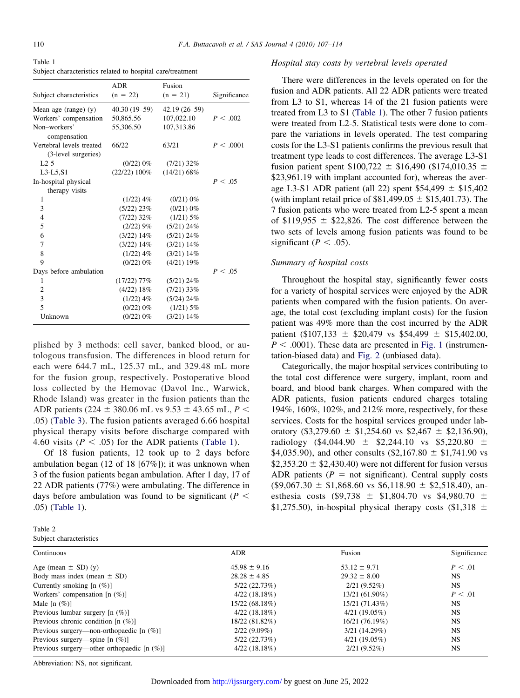Table 1 Subject characteristics related to hospital care/treatment

| Subject characteristics                         | <b>ADR</b><br>$(n = 22)$ | Fusion<br>$(n = 21)$ | Significance |
|-------------------------------------------------|--------------------------|----------------------|--------------|
| Mean age (range) $(y)$                          | 40.30 (19–59)            | 42.19 (26-59)        |              |
| Workers' compensation                           | 50,865.56                | 107,022.10           | P < .002     |
| Non-workers'<br>compensation                    | 55,306.50                | 107,313.86           |              |
| Vertebral levels treated<br>(3-level surgeries) | 66/22                    | 63/21                | P < .0001    |
| $1.2 - 5$                                       | $(0/22) 0\%$             | $(7/21)$ 32%         |              |
| $L3-L5,S1$                                      | (22/22) 100%             | $(14/21)$ 68%        |              |
| In-hospital physical<br>therapy visits          |                          |                      | P < .05      |
| 1                                               | $(1/22)$ 4\%             | (0/21) 0%            |              |
| 3                                               | $(5/22)$ 23\%            | (0/21) 0%            |              |
| $\overline{4}$                                  | $(7/22)$ 32%             | $(1/21)$ 5%          |              |
| 5                                               | (2/22)9%                 | $(5/21)$ 24%         |              |
| 6                                               | $(3/22)$ 14%             | $(5/21)$ 24%         |              |
| 7                                               | $(3/22)$ 14\%            | $(3/21)$ 14%         |              |
| 8                                               | $(1/22)$ 4\%             | $(3/21)$ 14%         |              |
| 9                                               | (0/22) 0%                | $(4/21)$ 19%         |              |
| Days before ambulation                          |                          |                      | P < .05      |
| 1                                               | $(17/22)$ 77%            | $(5/21)$ 24%         |              |
| 2                                               | $(4/22) 18\%$            | $(7/21)$ 33%         |              |
| 3                                               | $(1/22)$ 4%              | $(5/24)$ 24%         |              |
| $\overline{\phantom{0}}$                        | $(0/22) 0\%$             | $(1/21)$ 5%          |              |
| Unknown                                         | (0/22) 0%                | $(3/21)$ 14%         |              |

plished by 3 methods: cell saver, banked blood, or autologous transfusion. The differences in blood return for each were 644.7 mL, 125.37 mL, and 329.48 mL more for the fusion group, respectively. Postoperative blood loss collected by the Hemovac (Davol Inc., Warwick, Rhode Island) was greater in the fusion patients than the ADR patients (224  $\pm$  380.06 mL vs 9.53  $\pm$  43.65 mL, *P* < .05) [\(Table 3\)](#page-5-0). The fusion patients averaged 6.66 hospital physical therapy visits before discharge compared with 4.60 visits ( $P < .05$ ) for the ADR patients (Table 1).

Of 18 fusion patients, 12 took up to 2 days before ambulation began (12 of 18 [67%]); it was unknown when 3 of the fusion patients began ambulation. After 1 day, 17 of 22 ADR patients (77%) were ambulating. The difference in days before ambulation was found to be significant ( $P <$ .05) (Table 1).

| Table 2 |                         |
|---------|-------------------------|
|         | Subject characteristics |

#### *Hospital stay costs by vertebral levels operated*

There were differences in the levels operated on for the fusion and ADR patients. All 22 ADR patients were treated from L3 to S1, whereas 14 of the 21 fusion patients were treated from L3 to S1 (Table 1). The other 7 fusion patients were treated from L2-5. Statistical tests were done to compare the variations in levels operated. The test comparing costs for the L3-S1 patients confirms the previous result that treatment type leads to cost differences. The average L3-S1 fusion patient spent  $$100,722 \pm $16,490 \ ($174,010.35 \pm $16,490 \$ \$23,961.19 with implant accounted for), whereas the average L3-S1 ADR patient (all 22) spent  $$54,499 \pm $15,402$ (with implant retail price of  $$81,499.05 \pm $15,401.73$ ). The 7 fusion patients who were treated from L2-5 spent a mean of \$119,955  $\pm$  \$22,826. The cost difference between the two sets of levels among fusion patients was found to be significant ( $P < .05$ ).

#### *Summary of hospital costs*

Throughout the hospital stay, significantly fewer costs for a variety of hospital services were enjoyed by the ADR patients when compared with the fusion patients. On average, the total cost (excluding implant costs) for the fusion patient was 49% more than the cost incurred by the ADR patient (\$107,133  $\pm$  \$20,479 vs \$54,499  $\pm$  \$15,402.00,  $P < .0001$ ). These data are presented in [Fig. 1](#page-5-0) (instrumentation-biased data) and [Fig. 2](#page-5-0) (unbiased data).

Categorically, the major hospital services contributing to the total cost difference were surgery, implant, room and board, and blood bank charges. When compared with the ADR patients, fusion patients endured charges totaling 194%, 160%, 102%, and 212% more, respectively, for these services. Costs for the hospital services grouped under laboratory (\$3,279.60  $\pm$  \$1,254.60 vs \$2,467  $\pm$  \$2,136.90), radiology (\$4,044.90  $\pm$  \$2,244.10 vs \$5,220.80  $\pm$ \$4,035.90), and other consults (\$2,167.80  $\pm$  \$1,741.90 vs  $$2,353.20 \pm $2,430.40$  were not different for fusion versus ADR patients ( $P =$  not significant). Central supply costs  $($9,067.30 \pm $1,868.60 \text{ vs } $6,118.90 \pm $2,518.40), \text{ an-}$ esthesia costs (\$9,738  $\pm$  \$1,804.70 vs \$4,980.70  $\pm$ \$1,275.50), in-hospital physical therapy costs (\$1,318  $\pm$ 

| Continuous                                    | <b>ADR</b>       | Fusion           | Significance |
|-----------------------------------------------|------------------|------------------|--------------|
| Age (mean $\pm$ SD) (y)                       | $45.98 \pm 9.16$ | $53.12 \pm 9.71$ | P < .01      |
| Body mass index (mean $\pm$ SD)               | $28.28 \pm 4.85$ | $29.32 \pm 8.00$ | NS.          |
| Currently smoking $[n (\%)]$                  | 5/22(22.73%)     | $2/21(9.52\%)$   | NS.          |
| Workers' compensation $[n (\%)]$              | 4/22(18.18%)     | 13/21 (61.90%)   | P < .01      |
| Male $[n (%)]$                                | 15/22 (68.18%)   | 15/21 (71.43%)   | NS.          |
| Previous lumbar surgery $[n (%)]$             | 4/22(18.18%)     | 4/21(19.05%)     | NS.          |
| Previous chronic condition $[n (\%)]$         | 18/22 (81.82%)   | 16/21 (76.19%)   | NS.          |
| Previous surgery—non-orthopaedic $[n (\%)]$   | $2/22(9.09\%)$   | 3/21(14.29%)     | <b>NS</b>    |
| Previous surgery—spine $[n (\%)]$             | 5/22(22.73%)     | $4/21(19.05\%)$  | <b>NS</b>    |
| Previous surgery—other orthopaedic $[n (\%)]$ | 4/22(18.18%)     | $2/21(9.52\%)$   | NS.          |

Abbreviation: NS, not significant.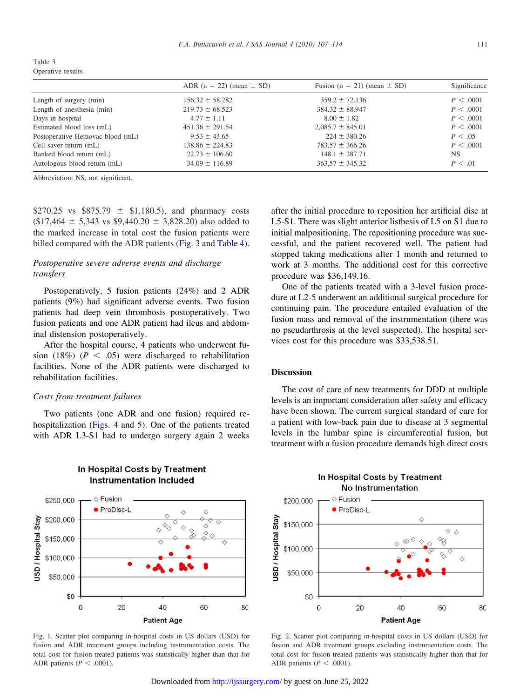<span id="page-5-0"></span>

| Table 3           |  |
|-------------------|--|
| Operative results |  |

| ADR $(n = 22)$ (mean $\pm$ SD) | Fusion ( $n = 21$ ) (mean $\pm$ SD) | Significance |
|--------------------------------|-------------------------------------|--------------|
| $156.32 \pm 58.282$            | $359.2 \pm 72.136$                  | P < .0001    |
| $219.73 \pm 68.523$            | $384.32 \pm 88.947$                 | P < .0001    |
| $4.77 \pm 1.11$                | $8.00 \pm 1.82$                     | P < .0001    |
| $451.36 \pm 291.54$            | $2.085.7 \pm 845.01$                | P < .0001    |
| $9.53 \pm 43.65$               | $224 \pm 380.26$                    | P < .05      |
| $138.86 \pm 224.83$            | $783.57 \pm 366.26$                 | P < .0001    |
| $22.73 \pm 106.60$             | $148.1 \pm 287.71$                  | NS.          |
| $34.09 \pm 116.89$             | $363.57 \pm 345.32$                 | P < .01      |
|                                |                                     |              |

Abbreviation: NS, not significant.

\$270.25 vs \$875.79  $\pm$  \$1,180.5), and pharmacy costs  $($17,464 \pm 5,343 \text{ vs } $9,440.20 \pm 3,828.20)$  also added to the marked increase in total cost the fusion patients were billed compared with the ADR patients [\(Fig. 3](#page-6-0) and [Table 4\)](#page-6-0).

## *Postoperative severe adverse events and discharge transfers*

Postoperatively, 5 fusion patients (24%) and 2 ADR patients (9%) had significant adverse events. Two fusion patients had deep vein thrombosis postoperatively. Two fusion patients and one ADR patient had ileus and abdominal distension postoperatively.

After the hospital course, 4 patients who underwent fusion (18%) ( $P < .05$ ) were discharged to rehabilitation facilities. None of the ADR patients were discharged to rehabilitation facilities.

#### *Costs from treatment failures*

Two patients (one ADR and one fusion) required rehospitalization [\(Figs. 4](#page-7-0) and [5\)](#page-7-0). One of the patients treated with ADR L3-S1 had to undergo surgery again 2 weeks

In Hospital Costs by Treatment

**Instrumentation Included** 

after the initial procedure to reposition her artificial disc at L5-S1. There was slight anterior listhesis of L5 on S1 due to initial malpositioning. The repositioning procedure was successful, and the patient recovered well. The patient had stopped taking medications after 1 month and returned to work at 3 months. The additional cost for this corrective procedure was \$36,149.16.

One of the patients treated with a 3-level fusion procedure at L2-5 underwent an additional surgical procedure for continuing pain. The procedure entailed evaluation of the fusion mass and removal of the instrumentation (there was no pseudarthrosis at the level suspected). The hospital services cost for this procedure was \$33,538.51.

#### **Discussion**

The cost of care of new treatments for DDD at multiple levels is an important consideration after safety and efficacy have been shown. The current surgical standard of care for a patient with low-back pain due to disease at 3 segmental levels in the lumbar spine is circumferential fusion, but treatment with a fusion procedure demands high direct costs



#### Fig. 1. Scatter plot comparing in-hospital costs in US dollars (USD) for fusion and ADR treatment groups including instrumentation costs. The total cost for fusion-treated patients was statistically higher than that for ADR patients ( $P < .0001$ ).

In Hospital Costs by Treatment **No Instrumentation** 



Fig. 2. Scatter plot comparing in-hospital costs in US dollars (USD) for fusion and ADR treatment groups excluding instrumentation costs. The total cost for fusion-treated patients was statistically higher than that for ADR patients ( $P < .0001$ ).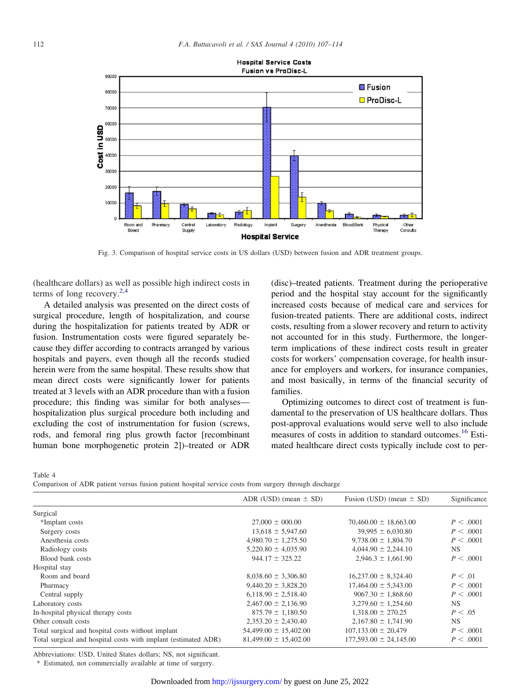<span id="page-6-0"></span>

**Hospital Service Costs Fusion vs ProDisc-L** 

Fig. 3. Comparison of hospital service costs in US dollars (USD) between fusion and ADR treatment groups.

(healthcare dollars) as well as possible high indirect costs in terms of long recovery.[2,4](#page-8-0)

A detailed analysis was presented on the direct costs of surgical procedure, length of hospitalization, and course during the hospitalization for patients treated by ADR or fusion. Instrumentation costs were figured separately because they differ according to contracts arranged by various hospitals and payers, even though all the records studied herein were from the same hospital. These results show that mean direct costs were significantly lower for patients treated at 3 levels with an ADR procedure than with a fusion procedure; this finding was similar for both analyses hospitalization plus surgical procedure both including and excluding the cost of instrumentation for fusion (screws, rods, and femoral ring plus growth factor [recombinant human bone morphogenetic protein 2])–treated or ADR

(disc)–treated patients. Treatment during the perioperative period and the hospital stay account for the significantly increased costs because of medical care and services for fusion-treated patients. There are additional costs, indirect costs, resulting from a slower recovery and return to activity not accounted for in this study. Furthermore, the longerterm implications of these indirect costs result in greater costs for workers' compensation coverage, for health insurance for employers and workers, for insurance companies, and most basically, in terms of the financial security of families.

Optimizing outcomes to direct cost of treatment is fundamental to the preservation of US healthcare dollars. Thus post-approval evaluations would serve well to also include measures of costs in addition to standard outcomes.<sup>[16](#page-8-0)</sup> Estimated healthcare direct costs typically include cost to per-

Table 4

Comparison of ADR patient versus fusion patient hospital service costs from surgery through discharge

|                                                                | ADR (USD) (mean $\pm$ SD) | Fusion (USD) (mean $\pm$ SD) | Significance |
|----------------------------------------------------------------|---------------------------|------------------------------|--------------|
| Surgical                                                       |                           |                              |              |
| *Implant costs                                                 | $27,000 \pm 000.00$       | $70,460.00 \pm 18,663.00$    | P < .0001    |
| Surgery costs                                                  | $13,618 \pm 5,947.60$     | $39,995 \pm 6,030.80$        | P < .0001    |
| Anesthesia costs                                               | $4.980.70 \pm 1.275.50$   | $9.738.00 \pm 1.804.70$      | P < .0001    |
| Radiology costs                                                | $5,220.80 \pm 4,035.90$   | $4,044.90 \pm 2,244.10$      | NS.          |
| Blood bank costs                                               | $944.17 \pm 325.22$       | $2,946.3 \pm 1,661.90$       | P < .0001    |
| Hospital stay                                                  |                           |                              |              |
| Room and board                                                 | $8,038.60 \pm 3,306.80$   | $16,237.00 \pm 8,324.40$     | P < .01      |
| Pharmacy                                                       | $9,440.20 \pm 3,828.20$   | $17,464.00 \pm 5,343.00$     | P < .0001    |
| Central supply                                                 | $6,118.90 \pm 2,518.40$   | $9067.30 \pm 1,868.60$       | P < .0001    |
| Laboratory costs                                               | $2,467.00 \pm 2,136.90$   | $3,279.60 \pm 1,254.60$      | NS.          |
| In-hospital physical therapy costs                             | $875.79 \pm 1,180.50$     | $1,318.00 \pm 270.25$        | P < .05      |
| Other consult costs                                            | $2,353.20 \pm 2,430.40$   | $2,167.80 \pm 1,741.90$      | NS.          |
| Total surgical and hospital costs without implant              | $54,499.00 \pm 15,402.00$ | $107,133.00 \pm 20,479$      | P < .0001    |
| Total surgical and hospital costs with implant (estimated ADR) | $81,499.00 \pm 15,402.00$ | $177,593.00 \pm 24,145.00$   | P < .0001    |
|                                                                |                           |                              |              |

Abbreviations: USD, United States dollars; NS, not significant.

\* Estimated, not commercially available at time of surgery.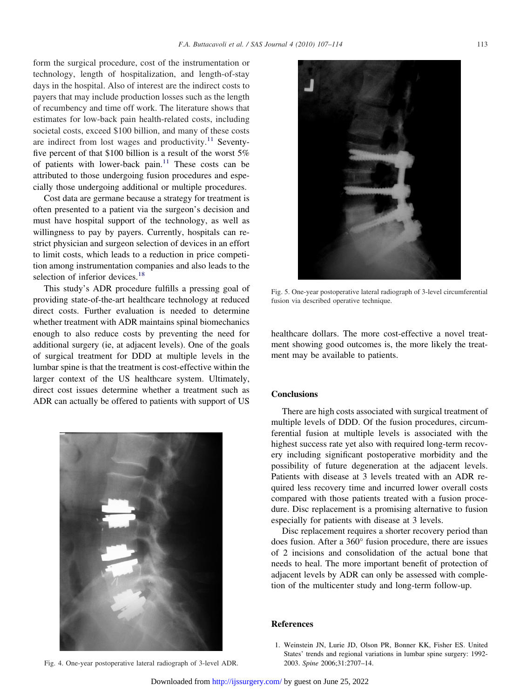<span id="page-7-0"></span>form the surgical procedure, cost of the instrumentation or technology, length of hospitalization, and length-of-stay days in the hospital. Also of interest are the indirect costs to payers that may include production losses such as the length of recumbency and time off work. The literature shows that estimates for low-back pain health-related costs, including societal costs, exceed \$100 billion, and many of these costs are indirect from lost wages and productivity.<sup>[11](#page-8-0)</sup> Seventyfive percent of that \$100 billion is a result of the worst 5% of patients with lower-back pain. $11$  These costs can be attributed to those undergoing fusion procedures and especially those undergoing additional or multiple procedures.

Cost data are germane because a strategy for treatment is often presented to a patient via the surgeon's decision and must have hospital support of the technology, as well as willingness to pay by payers. Currently, hospitals can restrict physician and surgeon selection of devices in an effort to limit costs, which leads to a reduction in price competition among instrumentation companies and also leads to the selection of inferior devices.<sup>[18](#page-8-0)</sup>

This study's ADR procedure fulfills a pressing goal of providing state-of-the-art healthcare technology at reduced direct costs. Further evaluation is needed to determine whether treatment with ADR maintains spinal biomechanics enough to also reduce costs by preventing the need for additional surgery (ie, at adjacent levels). One of the goals of surgical treatment for DDD at multiple levels in the lumbar spine is that the treatment is cost-effective within the larger context of the US healthcare system. Ultimately, direct cost issues determine whether a treatment such as ADR can actually be offered to patients with support of US



Fig. 4. One-year postoperative lateral radiograph of 3-level ADR. 2003. *Spine* 2006;31:2707–14.



Fig. 5. One-year postoperative lateral radiograph of 3-level circumferential fusion via described operative technique.

healthcare dollars. The more cost-effective a novel treatment showing good outcomes is, the more likely the treatment may be available to patients.

#### **Conclusions**

There are high costs associated with surgical treatment of multiple levels of DDD. Of the fusion procedures, circumferential fusion at multiple levels is associated with the highest success rate yet also with required long-term recovery including significant postoperative morbidity and the possibility of future degeneration at the adjacent levels. Patients with disease at 3 levels treated with an ADR required less recovery time and incurred lower overall costs compared with those patients treated with a fusion procedure. Disc replacement is a promising alternative to fusion especially for patients with disease at 3 levels.

Disc replacement requires a shorter recovery period than does fusion. After a 360° fusion procedure, there are issues of 2 incisions and consolidation of the actual bone that needs to heal. The more important benefit of protection of adjacent levels by ADR can only be assessed with completion of the multicenter study and long-term follow-up.

## **References**

1. Weinstein JN, Lurie JD, Olson PR, Bonner KK, Fisher ES. United States' trends and regional variations in lumbar spine surgery: 1992-